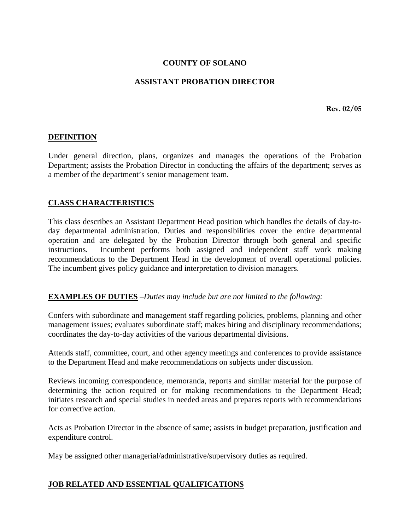## **COUNTY OF SOLANO**

### **ASSISTANT PROBATION DIRECTOR**

**Rev. 02/05** 

### **DEFINITION**

Under general direction, plans, organizes and manages the operations of the Probation Department; assists the Probation Director in conducting the affairs of the department; serves as a member of the department's senior management team.

### **CLASS CHARACTERISTICS**

This class describes an Assistant Department Head position which handles the details of day-today departmental administration. Duties and responsibilities cover the entire departmental operation and are delegated by the Probation Director through both general and specific instructions. Incumbent performs both assigned and independent staff work making recommendations to the Department Head in the development of overall operational policies. The incumbent gives policy guidance and interpretation to division managers.

#### **EXAMPLES OF DUTIES** *–Duties may include but are not limited to the following:*

Confers with subordinate and management staff regarding policies, problems, planning and other management issues; evaluates subordinate staff; makes hiring and disciplinary recommendations; coordinates the day-to-day activities of the various departmental divisions.

Attends staff, committee, court, and other agency meetings and conferences to provide assistance to the Department Head and make recommendations on subjects under discussion.

Reviews incoming correspondence, memoranda, reports and similar material for the purpose of determining the action required or for making recommendations to the Department Head; initiates research and special studies in needed areas and prepares reports with recommendations for corrective action.

Acts as Probation Director in the absence of same; assists in budget preparation, justification and expenditure control.

May be assigned other managerial/administrative/supervisory duties as required.

#### **JOB RELATED AND ESSENTIAL QUALIFICATIONS**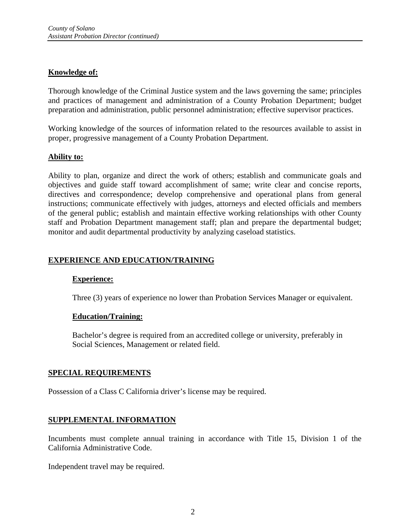## **Knowledge of:**

Thorough knowledge of the Criminal Justice system and the laws governing the same; principles and practices of management and administration of a County Probation Department; budget preparation and administration, public personnel administration; effective supervisor practices.

Working knowledge of the sources of information related to the resources available to assist in proper, progressive management of a County Probation Department.

# **Ability to:**

Ability to plan, organize and direct the work of others; establish and communicate goals and objectives and guide staff toward accomplishment of same; write clear and concise reports, directives and correspondence; develop comprehensive and operational plans from general instructions; communicate effectively with judges, attorneys and elected officials and members of the general public; establish and maintain effective working relationships with other County staff and Probation Department management staff; plan and prepare the departmental budget; monitor and audit departmental productivity by analyzing caseload statistics.

# **EXPERIENCE AND EDUCATION/TRAINING**

## **Experience:**

Three (3) years of experience no lower than Probation Services Manager or equivalent.

## **Education/Training:**

Bachelor's degree is required from an accredited college or university, preferably in Social Sciences, Management or related field.

## **SPECIAL REQUIREMENTS**

Possession of a Class C California driver's license may be required.

## **SUPPLEMENTAL INFORMATION**

Incumbents must complete annual training in accordance with Title 15, Division 1 of the California Administrative Code.

Independent travel may be required.